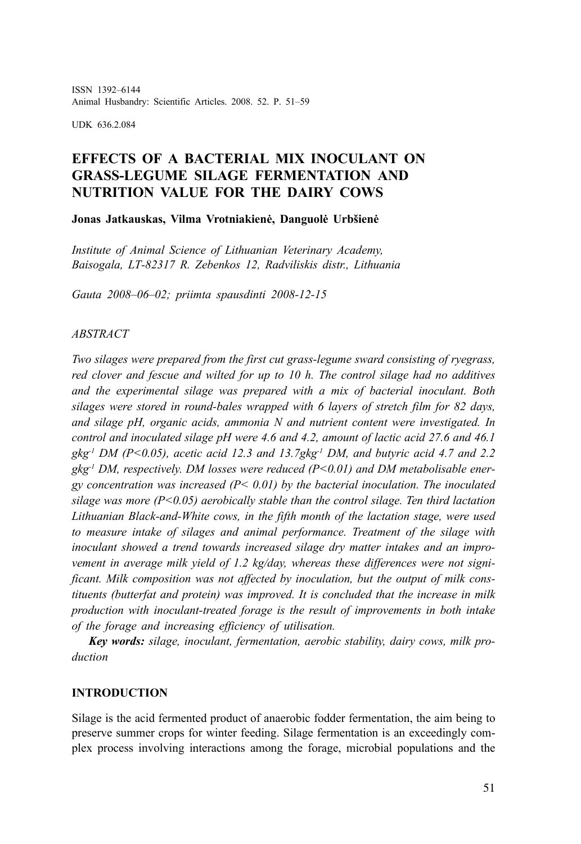ISSN 1392–6144 Animal Husbandry: Scientific Articles. 2008. 52. P. 51–59

UDK 636.2.084

# **EFFECTS OF A BACTERIAL MIX INOCULANT ON GRASS-LEGUME SILAGE FERMENTATION AND NUTRITION VALUE FOR THE DAIRY COWS**

**Jonas Jatkauskas, Vilma Vrotniakienė, Danguolė Urbšienė**

*Institute of Animal Science of Lithuanian Veterinary Academy, Baisogala, LT-82317 R. Zebenkos 12, Radviliskis distr., Lithuania*

*Gauta 2008–06–02; priimta spausdinti 2008-12-15*

#### *ABSTRACT*

*Two silages were prepared from the first cut grass-legume sward consisting of ryegrass, red clover and fescue and wilted for up to 10 h. The control silage had no additives and the experimental silage was prepared with a mix of bacterial inoculant. Both silages were stored in round-bales wrapped with 6 layers of stretch film for 82 days, and silage pH, organic acids, ammonia N and nutrient content were investigated. In control and inoculated silage pH were 4.6 and 4.2, amount of lactic acid 27.6 and 46.1 gkg-1 DM (P<0.05), acetic acid 12.3 and 13.7gkg-1 DM, and butyric acid 4.7 and 2.2 gkg-1 DM, respectively. DM losses were reduced (P<0.01) and DM metabolisable energy concentration was increased (P< 0.01) by the bacterial inoculation. The inoculated silage was more (P<0.05) aerobically stable than the control silage. Ten third lactation Lithuanian Black-and-White cows, in the fifth month of the lactation stage, were used to measure intake of silages and animal performance. Treatment of the silage with inoculant showed a trend towards increased silage dry matter intakes and an improvement in average milk yield of 1.2 kg/day, whereas these differences were not significant. Milk composition was not affected by inoculation, but the output of milk constituents (butterfat and protein) was improved. It is concluded that the increase in milk production with inoculant-treated forage is the result of improvements in both intake of the forage and increasing efficiency of utilisation.*

*Key words: silage, inoculant, fermentation, aerobic stability, dairy cows, milk production*

#### **INTRODUCTION**

Silage is the acid fermented product of anaerobic fodder fermentation, the aim being to preserve summer crops for winter feeding. Silage fermentation is an exceedingly complex process involving interactions among the forage, microbial populations and the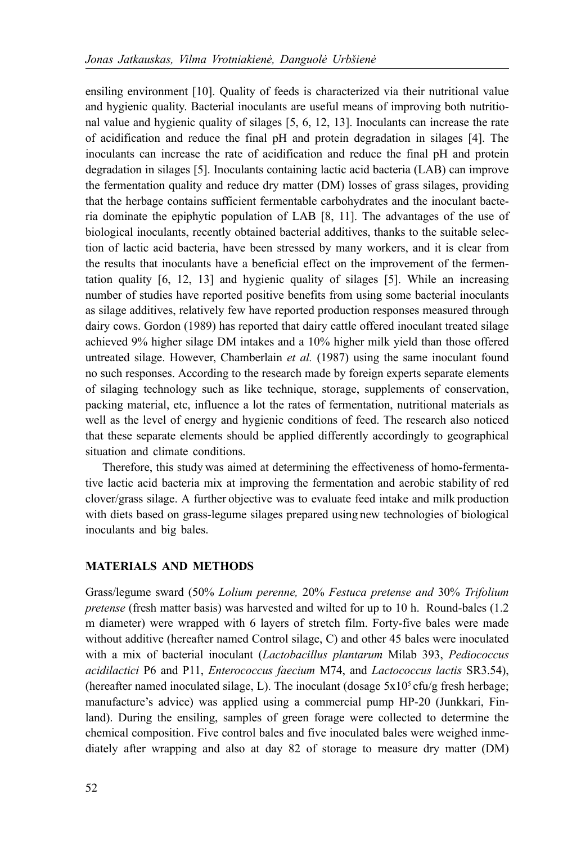ensiling environment [10]. Quality of feeds is characterized via their nutritional value and hygienic quality. Bacterial inoculants are useful means of improving both nutritional value and hygienic quality of silages [5, 6, 12, 13]. Inoculants can increase the rate of acidification and reduce the final pH and protein degradation in silages [4]. The inoculants can increase the rate of acidification and reduce the final pH and protein degradation in silages [5]. Inoculants containing lactic acid bacteria (LAB) can improve the fermentation quality and reduce dry matter (DM) losses of grass silages, providing that the herbage contains sufficient fermentable carbohydrates and the inoculant bacteria dominate the epiphytic population of LAB [8, 11]. The advantages of the use of biological inoculants, recently obtained bacterial additives, thanks to the suitable selection of lactic acid bacteria, have been stressed by many workers, and it is clear from the results that inoculants have a beneficial effect on the improvement of the fermentation quality [6, 12, 13] and hygienic quality of silages [5]. While an increasing number of studies have reported positive benefits from using some bacterial inoculants as silage additives, relatively few have reported production responses measured through dairy cows. Gordon (1989) has reported that dairy cattle offered inoculant treated silage achieved 9% higher silage DM intakes and a 10% higher milk yield than those offered untreated silage. However, Chamberlain *et al.* (1987) using the same inoculant found no such responses. According to the research made by foreign experts separate elements of silaging technology such as like technique, storage, supplements of conservation, packing material, etc, influence a lot the rates of fermentation, nutritional materials as well as the level of energy and hygienic conditions of feed. The research also noticed that these separate elements should be applied differently accordingly to geographical situation and climate conditions.

Therefore, this study was aimed at determining the effectiveness of homo-fermentative lactic acid bacteria mix at improving the fermentation and aerobic stability of red clover/grass silage. A further objective was to evaluate feed intake and milk production with diets based on grass-legume silages prepared using new technologies of biological inoculants and big bales.

#### **MATERIALS AND METHODS**

Grass/legume sward (50% *Lolium perenne,* 20% *Festuca pretense and* 30% *Trifolium pretense* (fresh matter basis) was harvested and wilted for up to 10 h. Round-bales (1.2 m diameter) were wrapped with 6 layers of stretch film. Forty-five bales were made without additive (hereafter named Control silage, C) and other 45 bales were inoculated with a mix of bacterial inoculant (*Lactobacillus plantarum* Milab 393, *Pediococcus acidilactici* P6 and P11, *Enterococcus faecium* M74, and *Lactococcus lactis* SR3.54), (hereafter named inoculated silage, L). The inoculant (dosage  $5x10<sup>5</sup>$  cfu/g fresh herbage; manufacture's advice) was applied using a commercial pump HP-20 (Junkkari, Finland). During the ensiling, samples of green forage were collected to determine the chemical composition. Five control bales and five inoculated bales were weighed inmediately after wrapping and also at day 82 of storage to measure dry matter (DM)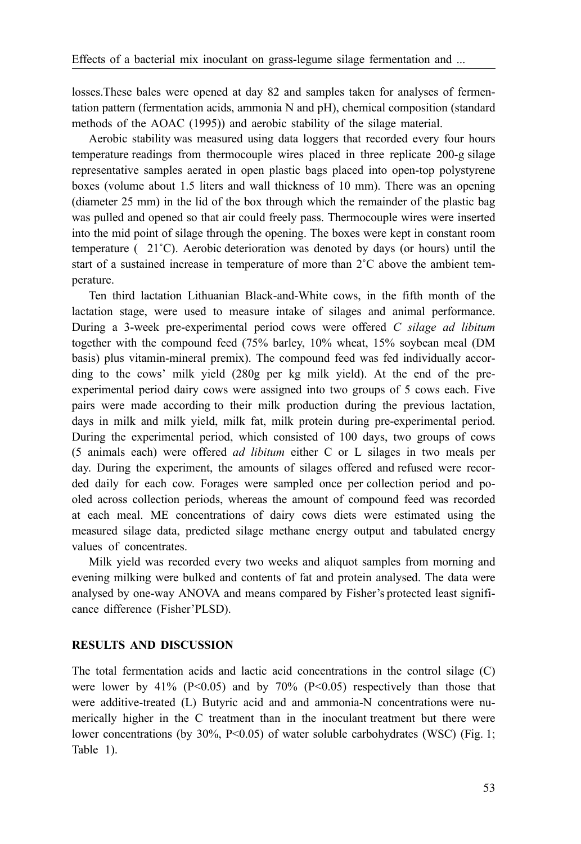losses.These bales were opened at day 82 and samples taken for analyses of fermentation pattern (fermentation acids, ammonia N and pH), chemical composition (standard methods of the AOAC (1995)) and aerobic stability of the silage material.

Aerobic stability was measured using data loggers that recorded every four hours temperature readings from thermocouple wires placed in three replicate 200-g silage representative samples aerated in open plastic bags placed into open-top polystyrene boxes (volume about 1.5 liters and wall thickness of 10 mm). There was an opening (diameter 25 mm) in the lid of the box through which the remainder of the plastic bag was pulled and opened so that air could freely pass. Thermocouple wires were inserted into the mid point of silage through the opening. The boxes were kept in constant room temperature  $(21^{\circ}C)$ . Aerobic deterioration was denoted by days (or hours) until the start of a sustained increase in temperature of more than  $2^{\circ}$ C above the ambient temperature.

Ten third lactation Lithuanian Black-and-White cows, in the fifth month of the lactation stage, were used to measure intake of silages and animal performance. During a 3-week pre-experimental period cows were offered *C silage ad libitum* together with the compound feed (75% barley, 10% wheat, 15% soybean meal (DM basis) plus vitamin-mineral premix). The compound feed was fed individually according to the cows' milk yield (280g per kg milk yield). At the end of the preexperimental period dairy cows were assigned into two groups of 5 cows each. Five pairs were made according to their milk production during the previous lactation, days in milk and milk yield, milk fat, milk protein during pre-experimental period. During the experimental period, which consisted of 100 days, two groups of cows (5 animals each) were offered *ad libitum* either C or L silages in two meals per day. During the experiment, the amounts of silages offered and refused were recorded daily for each cow. Forages were sampled once per collection period and pooled across collection periods, whereas the amount of compound feed was recorded at each meal. ME concentrations of dairy cows diets were estimated using the measured silage data, predicted silage methane energy output and tabulated energy values of concentrates.

Milk yield was recorded every two weeks and aliquot samples from morning and evening milking were bulked and contents of fat and protein analysed. The data were analysed by one-way ANOVA and means compared by Fisher's protected least significance difference (Fisher'PLSD).

#### **RESULTS AND DISCUSSION**

The total fermentation acids and lactic acid concentrations in the control silage (C) were lower by 41% (P<0.05) and by 70% (P<0.05) respectively than those that were additive-treated (L) Butyric acid and and ammonia-N concentrations were numerically higher in the C treatment than in the inoculant treatment but there were lower concentrations (by 30%, P<0.05) of water soluble carbohydrates (WSC) (Fig. 1; Table 1).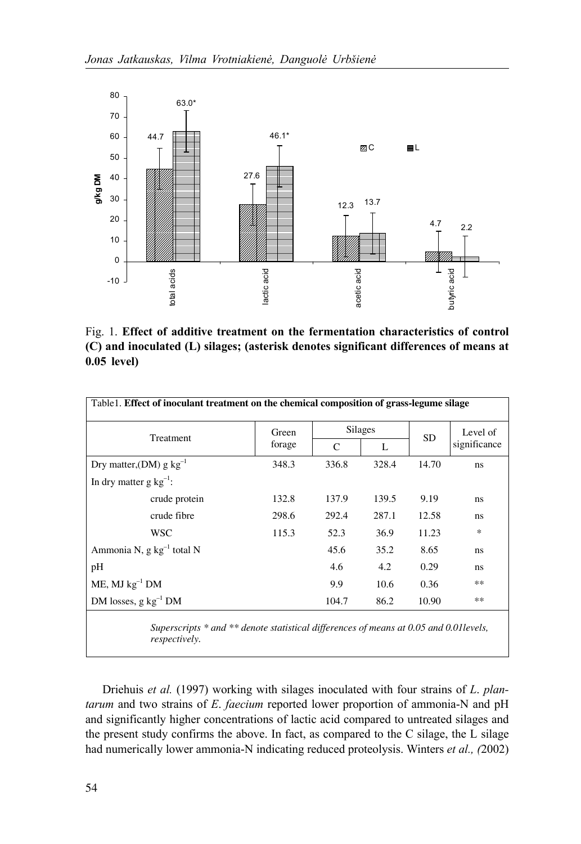

Fig. 1. **Effect of additive treatment on the fermentation characteristics of control (C) and inoculated (L) silages; (asterisk denotes significant differences of means at 0.05 level)**

| Table 1. Effect of inoculant treatment on the chemical composition of grass-legume silage |                 |         |       |           |              |  |  |
|-------------------------------------------------------------------------------------------|-----------------|---------|-------|-----------|--------------|--|--|
| Treatment                                                                                 | Green<br>forage | Silages |       | <b>SD</b> | Level of     |  |  |
|                                                                                           |                 | C       | L     |           | significance |  |  |
| Dry matter, (DM) g $kg^{-1}$                                                              | 348.3           | 336.8   | 328.4 | 14.70     | ns.          |  |  |
| In dry matter $g kg^{-1}$ :                                                               |                 |         |       |           |              |  |  |
| crude protein                                                                             | 132.8           | 137.9   | 139.5 | 9.19      | ns           |  |  |
| crude fibre                                                                               | 298.6           | 292.4   | 287.1 | 12.58     | ns           |  |  |
| WSC                                                                                       | 115.3           | 52.3    | 36.9  | 11.23     | *            |  |  |
| Ammonia N, g kg <sup>-1</sup> total N                                                     |                 | 45.6    | 35.2  | 8.65      | ns           |  |  |
| pН                                                                                        |                 | 4.6     | 4.2   | 0.29      | ns           |  |  |
| $ME$ , MJ $kg^{-1}$ DM                                                                    |                 | 9.9     | 10.6  | 0.36      | **           |  |  |
| DM losses, $g kg^{-1} DM$                                                                 |                 | 104.7   | 86.2  | 10.90     | **           |  |  |
|                                                                                           |                 |         |       |           |              |  |  |

 *Superscripts \* and \*\* denote statistical differences of means at 0.05 and 0.01levels, respectively.* 

Driehuis *et al.* (1997) working with silages inoculated with four strains of *L*. *plantarum* and two strains of *E*. *faecium* reported lower proportion of ammonia-N and pH and significantly higher concentrations of lactic acid compared to untreated silages and the present study confirms the above. In fact, as compared to the C silage, the L silage had numerically lower ammonia-N indicating reduced proteolysis. Winters *et al., (*2002)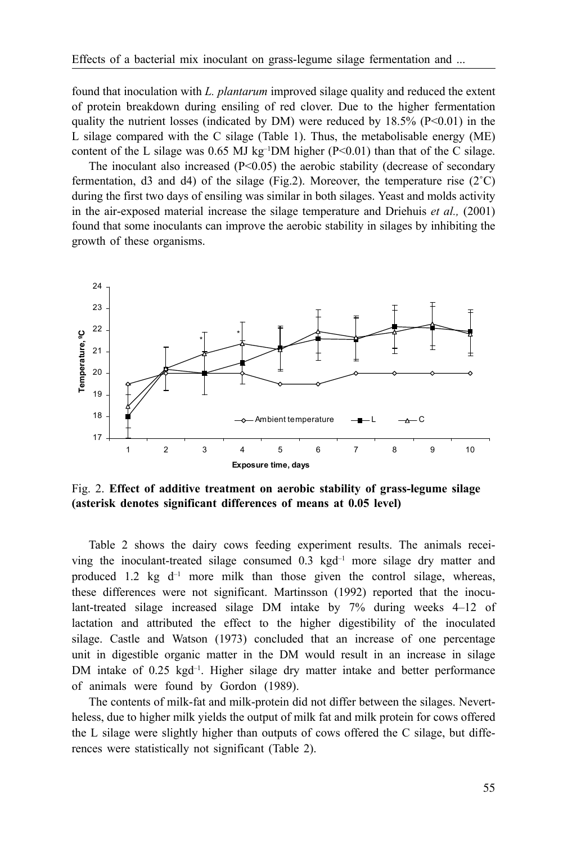found that inoculation with *L. plantarum* improved silage quality and reduced the extent of protein breakdown during ensiling of red clover. Due to the higher fermentation quality the nutrient losses (indicated by DM) were reduced by  $18.5\%$  (P<0.01) in the L silage compared with the C silage (Table 1). Thus, the metabolisable energy (ME) content of the L silage was 0.65 MJ kg<sup>-1</sup>DM higher (P<0.01) than that of the C silage.

The inoculant also increased  $(P<0.05)$  the aerobic stability (decrease of secondary fermentation, d3 and d4) of the silage (Fig.2). Moreover, the temperature rise  $(2^{\circ}C)$ during the first two days of ensiling was similar in both silages. Yeast and molds activity in the air-exposed material increase the silage temperature and Driehuis *et al.,* (2001) found that some inoculants can improve the aerobic stability in silages by inhibiting the growth of these organisms.



Fig. 2. **Effect of additive treatment on aerobic stability of grass-legume silage (asterisk denotes significant differences of means at 0.05 level)**

Table 2 shows the dairy cows feeding experiment results. The animals receiving the inoculant-treated silage consumed  $0.3 \text{ kgd}^{-1}$  more silage dry matter and produced 1.2 kg  $d^{-1}$  more milk than those given the control silage, whereas, these differences were not significant. Martinsson (1992) reported that the inoculant-treated silage increased silage DM intake by 7% during weeks 4–12 of lactation and attributed the effect to the higher digestibility of the inoculated silage. Castle and Watson (1973) concluded that an increase of one percentage unit in digestible organic matter in the DM would result in an increase in silage DM intake of 0.25 kgd<sup>-1</sup>. Higher silage dry matter intake and better performance of animals were found by Gordon (1989).

The contents of milk-fat and milk-protein did not differ between the silages. Nevertheless, due to higher milk yields the output of milk fat and milk protein for cows offered the L silage were slightly higher than outputs of cows offered the C silage, but differences were statistically not significant (Table 2).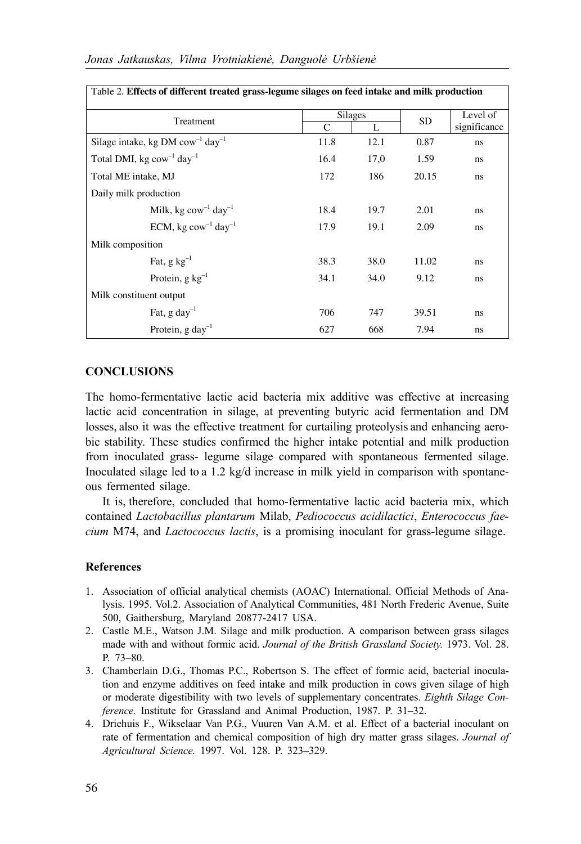| Table 2. Effects of different treated grass-legume silages on feed intake and milk production |                          |      |           |                          |  |  |  |
|-----------------------------------------------------------------------------------------------|--------------------------|------|-----------|--------------------------|--|--|--|
| Treatment                                                                                     | <b>Silages</b><br>L<br>C |      | <b>SD</b> | Level of<br>significance |  |  |  |
| Silage intake, kg DM $com^{-1}$ day <sup>-1</sup>                                             | 11.8                     | 12.1 | 0.87      | ns                       |  |  |  |
| Total DMI, kg $\text{row}^{-1}$ day <sup>-1</sup>                                             | 16.4                     | 17,0 | 1.59      | ns                       |  |  |  |
| Total ME intake, MJ                                                                           | 172                      | 186  | 20.15     | ns                       |  |  |  |
| Daily milk production                                                                         |                          |      |           |                          |  |  |  |
| Milk, kg $\text{row}^{-1}$ day <sup>-1</sup>                                                  | 18.4                     | 19.7 | 2.01      | ns                       |  |  |  |
| ECM, kg $\text{cow}^{-1}$ day <sup>-1</sup>                                                   | 17.9                     | 19.1 | 2.09      | ns                       |  |  |  |
| Milk composition                                                                              |                          |      |           |                          |  |  |  |
| Fat, $g kg^{-1}$                                                                              | 38.3                     | 38.0 | 11.02     | ns                       |  |  |  |
| Protein, $g kg^{-1}$                                                                          | 34.1                     | 34.0 | 9.12      | ns                       |  |  |  |
| Milk constituent output                                                                       |                          |      |           |                          |  |  |  |
| Fat, $g \, \text{d}$ ay <sup>-1</sup>                                                         | 706                      | 747  | 39.51     | ns                       |  |  |  |
| Protein, $g \, \text{day}^{-1}$                                                               | 627                      | 668  | 7.94      | ns                       |  |  |  |

### **CONCLUSIONS**

The homo-fermentative lactic acid bacteria mix additive was effective at increasing lactic acid concentration in silage, at preventing butyric acid fermentation and DM losses, also it was the effective treatment for curtailing proteolysis and enhancing aerobic stability. These studies confirmed the higher intake potential and milk production from inoculated grass- legume silage compared with spontaneous fermented silage. Inoculated silage led to a 1.2 kg/d increase in milk yield in comparison with spontaneous fermented silage.

It is, therefore, concluded that homo-fermentative lactic acid bacteria mix, which contained *Lactobacillus plantarum* Milab, *Pediococcus acidilactici*, *Enterococcus faecium* M74, and *Lactococcus lactis*, is a promising inoculant for grass-legume silage.

### **References**

- 1. Association of official analytical chemists (AOAC) International. Official Methods of Analysis. 1995. Vol.2. Association of Analytical Communities, 481 North Frederic Avenue, Suite 500, Gaithersburg, Maryland 20877-2417 USA.
- 2. Castle M.E., Watson J.M. Silage and milk production. A comparison between grass silages made with and without formic acid. *Journal of the British Grassland Society.* 1973. Vol. 28. P. 73–80.
- 3. Chamberlain D.G., Thomas P.C., Robertson S. The effect of formic acid, bacterial inoculation and enzyme additives on feed intake and milk production in cows given silage of high or moderate digestibility with two levels of supplementary concentrates. *Eighth Silage Conference.* Institute for Grassland and Animal Production, 1987. P. 31–32.
- 4. Driehuis F., Wikselaar Van P.G., Vuuren Van A.M. et al. Effect of a bacterial inoculant on rate of fermentation and chemical composition of high dry matter grass silages. *Journal of Agricultural Science.* 1997. Vol. 128. P. 323–329.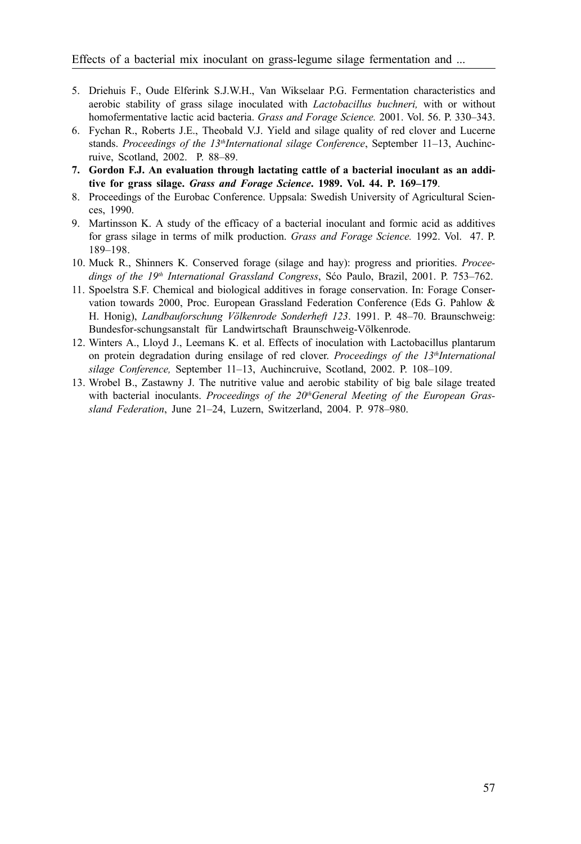- 5. Driehuis F., Oude Elferink S.J.W.H., Van Wikselaar P.G. Fermentation characteristics and aerobic stability of grass silage inoculated with *Lactobacillus buchneri,* with or without homofermentative lactic acid bacteria. *Grass and Forage Science.* 2001. Vol. 56. P. 330–343.
- 6. Fychan R., Roberts J.E., Theobald V.J. Yield and silage quality of red clover and Lucerne stands. Proceedings of the 13<sup>th</sup>International silage Conference, September 11-13, Auchincruive, Scotland, 2002. P. 88–89.
- **7. Gordon F.J. An evaluation through lactating cattle of a bacterial inoculant as an additive for grass silage.** *Grass and Forage Science***. 1989. Vol. 44. P. 169–179**.
- 8. Proceedings of the Eurobac Conference. Uppsala: Swedish University of Agricultural Sciences, 1990.
- 9. Martinsson K. A study of the efficacy of a bacterial inoculant and formic acid as additives for grass silage in terms of milk production. *Grass and Forage Science.* 1992. Vol. 47. P. 189–198.
- 10. Muck R., Shinners K. Conserved forage (silage and hay): progress and priorities. *Proceedings of the 19th International Grassland Congress*, Sćo Paulo, Brazil, 2001. P. 753–762.
- 11. Spoelstra S.F. Chemical and biological additives in forage conservation. In: Forage Conservation towards 2000, Proc. European Grassland Federation Conference (Eds G. Pahlow & H. Honig), *Landbauforschung Völkenrode Sonderheft 123*. 1991. P. 48–70. Braunschweig: Bundesfor-schungsanstalt für Landwirtschaft Braunschweig-Völkenrode.
- 12. Winters A., Lloyd J., Leemans K. et al. Effects of inoculation with Lactobacillus plantarum on protein degradation during ensilage of red clover. *Proceedings of the 13<sup>th</sup>International silage Conference,* September 11–13, Auchincruive, Scotland, 2002. P. 108–109.
- 13. Wrobel B., Zastawny J. The nutritive value and aerobic stability of big bale silage treated with bacterial inoculants. *Proceedings of the 20<sup>th</sup>General Meeting of the European Grassland Federation*, June 21–24, Luzern, Switzerland, 2004. P. 978–980.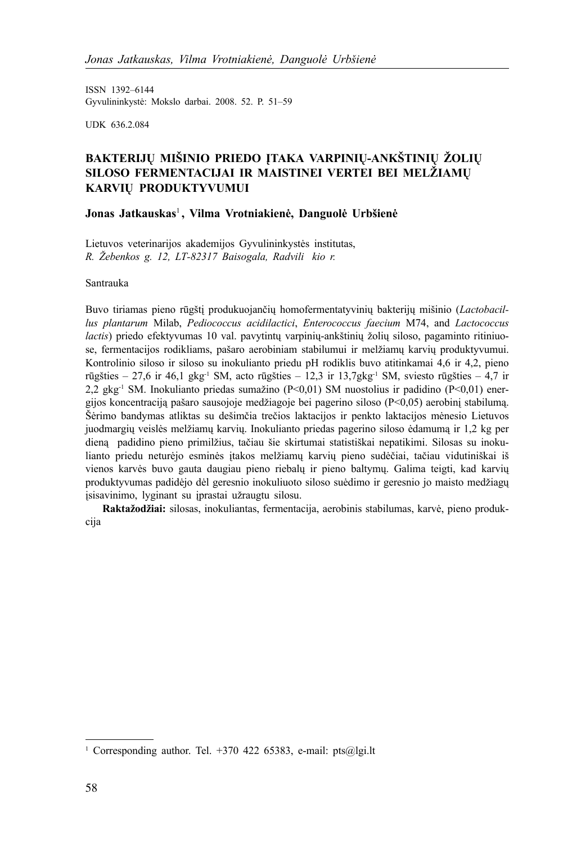ISSN 1392–6144 Gyvulininkystė: Mokslo darbai. 2008. 52. P. 51–59

UDK 636.2.084

## **BAKTERIJŲ MIŠINIO PRIEDO ĮTAKA VARPINIŲ-ANKŠTINIŲ ŽOLIŲ SILOSO FERMENTACIJAI IR MAISTINEI VERTEI BEI MELŽIAMŲ KARVIŲ PRODUKTYVUMUI**

## **Jonas Jatkauskas**<sup>1</sup> **, Vilma Vrotniakienė, Danguolė Urbšienė**

Lietuvos veterinarijos akademijos Gyvulininkystės institutas, *R. Žebenkos g. 12, LT-82317 Baisogala, Radvilikio r.*

Santrauka

Buvo tiriamas pieno rūgštį produkuojančių homofermentatyvinių bakterijų mišinio (*Lactobacillus plantarum* Milab, *Pediococcus acidilactici*, *Enterococcus faecium* M74, and *Lactococcus lactis*) priedo efektyvumas 10 val. pavytintų varpinių-ankštinių žolių siloso, pagaminto ritiniuose, fermentacijos rodikliams, pašaro aerobiniam stabilumui ir melžiamų karvių produktyvumui. Kontrolinio siloso ir siloso su inokulianto priedu pH rodiklis buvo atitinkamai 4,6 ir 4,2, pieno rūgšties – 27,6 ir 46,1 gkg<sup>-1</sup> SM, acto rūgšties – 12,3 ir 13,7gkg<sup>-1</sup> SM, sviesto rūgšties – 4,7 ir 2,2 gkg-1 SM. Inokulianto priedas sumažino (P<0,01) SM nuostolius ir padidino (P<0,01) energijos koncentraciją pašaro sausojoje medžiagoje bei pagerino siloso (P<0,05) aerobinį stabilumą. Šėrimo bandymas atliktas su dešimčia trečios laktacijos ir penkto laktacijos mėnesio Lietuvos juodmargių veislės melžiamų karvių. Inokulianto priedas pagerino siloso ėdamumą ir 1,2 kg per dieną padidino pieno primilžius, tačiau šie skirtumai statistiškai nepatikimi. Silosas su inokulianto priedu neturėjo esminės įtakos melžiamų karvių pieno sudėčiai, tačiau vidutiniškai iš vienos karvės buvo gauta daugiau pieno riebalų ir pieno baltymų. Galima teigti, kad karvių produktyvumas padidėjo dėl geresnio inokuliuoto siloso suėdimo ir geresnio jo maisto medžiagų įsisavinimo, lyginant su įprastai užraugtu silosu.

**Raktažodžiai:** silosas, inokuliantas, fermentacija, aerobinis stabilumas, karvė, pieno produkcija

<sup>&</sup>lt;sup>1</sup> Corresponding author. Tel. +370 422 65383, e-mail: pts@lgi.lt